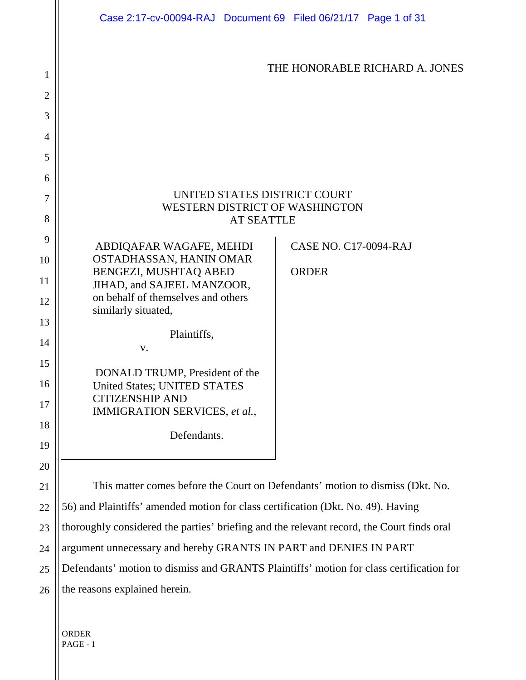|                | Case 2:17-cv-00094-RAJ Document 69 Filed 06/21/17 Page 1 of 31                            |
|----------------|-------------------------------------------------------------------------------------------|
| 1              | THE HONORABLE RICHARD A. JONES                                                            |
| $\overline{2}$ |                                                                                           |
| 3              |                                                                                           |
| 4              |                                                                                           |
| 5              |                                                                                           |
| 6              |                                                                                           |
| 7              | UNITED STATES DISTRICT COURT<br>WESTERN DISTRICT OF WASHINGTON                            |
| 8              | <b>AT SEATTLE</b>                                                                         |
| 9              | ABDIQAFAR WAGAFE, MEHDI<br><b>CASE NO. C17-0094-RAJ</b>                                   |
| 10             | OSTADHASSAN, HANIN OMAR<br>BENGEZI, MUSHTAQ ABED<br><b>ORDER</b>                          |
| 11             | JIHAD, and SAJEEL MANZOOR,                                                                |
| 12             | on behalf of themselves and others<br>similarly situated,                                 |
| 13             |                                                                                           |
| 14             | Plaintiffs,<br>V.                                                                         |
| 15             | DONALD TRUMP, President of the                                                            |
| 16             | <b>United States; UNITED STATES</b>                                                       |
| 17             | <b>CITIZENSHIP AND</b><br>IMMIGRATION SERVICES, et al.,                                   |
| 18             |                                                                                           |
| 19             | Defendants.                                                                               |
| 20             |                                                                                           |
| 21             | This matter comes before the Court on Defendants' motion to dismiss (Dkt. No.             |
| 22             | 56) and Plaintiffs' amended motion for class certification (Dkt. No. 49). Having          |
| 23             | thoroughly considered the parties' briefing and the relevant record, the Court finds oral |
| 24             | argument unnecessary and hereby GRANTS IN PART and DENIES IN PART                         |
| 25             | Defendants' motion to dismiss and GRANTS Plaintiffs' motion for class certification for   |
| 26             | the reasons explained herein.                                                             |
|                |                                                                                           |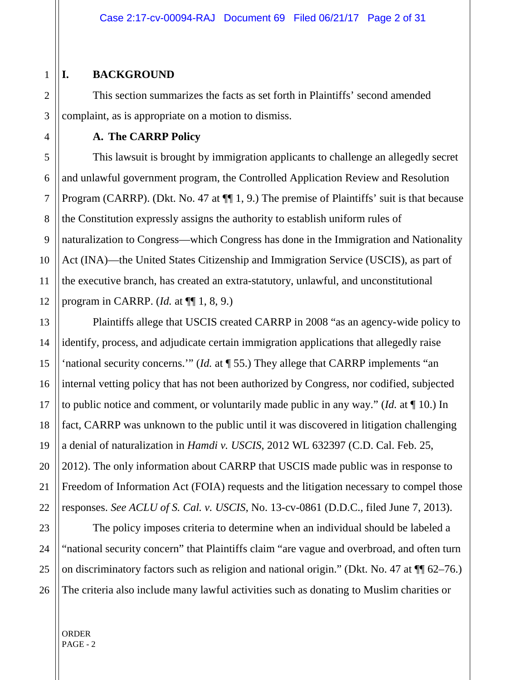### **I. BACKGROUND**

This section summarizes the facts as set forth in Plaintiffs' second amended complaint, as is appropriate on a motion to dismiss.

**A. The CARRP Policy**

This lawsuit is brought by immigration applicants to challenge an allegedly secret and unlawful government program, the Controlled Application Review and Resolution Program (CARRP). (Dkt. No. 47 at  $\P$  1, 9.) The premise of Plaintiffs' suit is that because the Constitution expressly assigns the authority to establish uniform rules of naturalization to Congress—which Congress has done in the Immigration and Nationality Act (INA)—the United States Citizenship and Immigration Service (USCIS), as part of the executive branch, has created an extra-statutory, unlawful, and unconstitutional program in CARRP. (*Id.* at ¶¶ 1, 8, 9.)

Plaintiffs allege that USCIS created CARRP in 2008 "as an agency-wide policy to identify, process, and adjudicate certain immigration applications that allegedly raise 'national security concerns.'" (*Id.* at ¶ 55.) They allege that CARRP implements "an internal vetting policy that has not been authorized by Congress, nor codified, subjected to public notice and comment, or voluntarily made public in any way." (*Id.* at ¶ 10.) In fact, CARRP was unknown to the public until it was discovered in litigation challenging a denial of naturalization in *Hamdi v. USCIS*, 2012 WL 632397 (C.D. Cal. Feb. 25, 2012). The only information about CARRP that USCIS made public was in response to Freedom of Information Act (FOIA) requests and the litigation necessary to compel those responses. *See ACLU of S. Cal. v. USCIS*, No. 13-cv-0861 (D.D.C., filed June 7, 2013).

The policy imposes criteria to determine when an individual should be labeled a "national security concern" that Plaintiffs claim "are vague and overbroad, and often turn on discriminatory factors such as religion and national origin." (Dkt. No. 47 at ¶¶ 62–76.) The criteria also include many lawful activities such as donating to Muslim charities or

8

9

10

11

12

13

14

15

16

17

18

19

20

21

22

23

24

25

26

1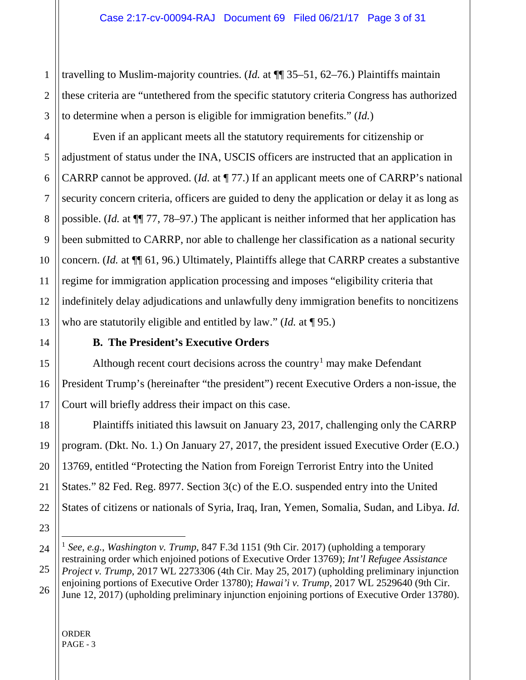3 travelling to Muslim-majority countries. (*Id.* at ¶¶ 35–51, 62–76.) Plaintiffs maintain these criteria are "untethered from the specific statutory criteria Congress has authorized to determine when a person is eligible for immigration benefits." (*Id.*)

Even if an applicant meets all the statutory requirements for citizenship or adjustment of status under the INA, USCIS officers are instructed that an application in CARRP cannot be approved. (*Id.* at ¶ 77.) If an applicant meets one of CARRP's national security concern criteria, officers are guided to deny the application or delay it as long as possible. (*Id.* at ¶¶ 77, 78–97.) The applicant is neither informed that her application has been submitted to CARRP, nor able to challenge her classification as a national security concern. (*Id.* at ¶¶ 61, 96.) Ultimately, Plaintiffs allege that CARRP creates a substantive regime for immigration application processing and imposes "eligibility criteria that indefinitely delay adjudications and unlawfully deny immigration benefits to noncitizens who are statutorily eligible and entitled by law." (*Id.* at ¶ 95.)

1

2

4

5

6

7

8

9

10

11

12

13

14

15

16

17

18

19

20

21

23

### **B. The President's Executive Orders**

Although recent court decisions across the country<sup>[1](#page-2-0)</sup> may make Defendant President Trump's (hereinafter "the president") recent Executive Orders a non-issue, the Court will briefly address their impact on this case.

22 Plaintiffs initiated this lawsuit on January 23, 2017, challenging only the CARRP program. (Dkt. No. 1.) On January 27, 2017, the president issued Executive Order (E.O.) 13769, entitled "Protecting the Nation from Foreign Terrorist Entry into the United States." 82 Fed. Reg. 8977. Section 3(c) of the E.O. suspended entry into the United States of citizens or nationals of Syria, Iraq, Iran, Yemen, Somalia, Sudan, and Libya. *Id.*

<span id="page-2-0"></span><sup>24</sup> 25 26 1 *See, e.g.*, *Washington v. Trump*, 847 F.3d 1151 (9th Cir. 2017) (upholding a temporary restraining order which enjoined potions of Executive Order 13769); *Int'l Refugee Assistance Project v. Trump*, 2017 WL 2273306 (4th Cir. May 25, 2017) (upholding preliminary injunction enjoining portions of Executive Order 13780); *Hawai'i v. Trump*, 2017 WL 2529640 (9th Cir. June 12, 2017) (upholding preliminary injunction enjoining portions of Executive Order 13780).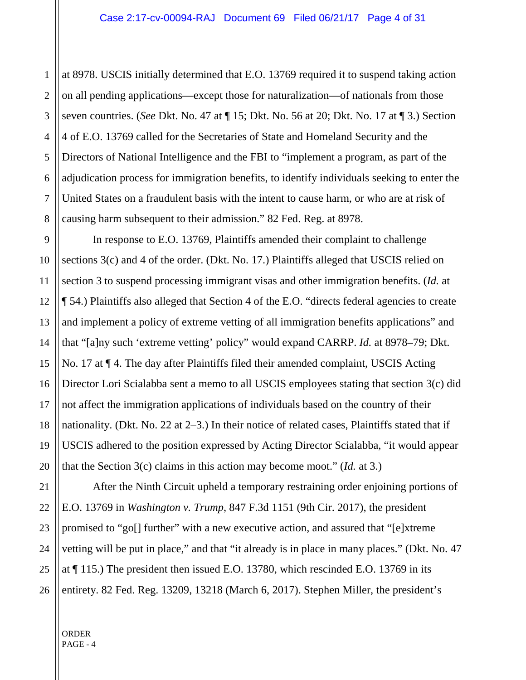at 8978. USCIS initially determined that E.O. 13769 required it to suspend taking action on all pending applications—except those for naturalization—of nationals from those seven countries. (*See* Dkt. No. 47 at ¶ 15; Dkt. No. 56 at 20; Dkt. No. 17 at ¶ 3.) Section 4 of E.O. 13769 called for the Secretaries of State and Homeland Security and the Directors of National Intelligence and the FBI to "implement a program, as part of the adjudication process for immigration benefits, to identify individuals seeking to enter the United States on a fraudulent basis with the intent to cause harm, or who are at risk of causing harm subsequent to their admission." 82 Fed. Reg. at 8978.

In response to E.O. 13769, Plaintiffs amended their complaint to challenge sections 3(c) and 4 of the order. (Dkt. No. 17.) Plaintiffs alleged that USCIS relied on section 3 to suspend processing immigrant visas and other immigration benefits. (*Id.* at ¶ 54.) Plaintiffs also alleged that Section 4 of the E.O. "directs federal agencies to create and implement a policy of extreme vetting of all immigration benefits applications" and that "[a]ny such 'extreme vetting' policy" would expand CARRP. *Id.* at 8978–79; Dkt. No. 17 at ¶ 4. The day after Plaintiffs filed their amended complaint, USCIS Acting Director Lori Scialabba sent a memo to all USCIS employees stating that section 3(c) did not affect the immigration applications of individuals based on the country of their nationality. (Dkt. No. 22 at 2–3.) In their notice of related cases, Plaintiffs stated that if USCIS adhered to the position expressed by Acting Director Scialabba, "it would appear that the Section 3(c) claims in this action may become moot." (*Id.* at 3.)

After the Ninth Circuit upheld a temporary restraining order enjoining portions of E.O. 13769 in *Washington v. Trump*, 847 F.3d 1151 (9th Cir. 2017), the president promised to "go[] further" with a new executive action, and assured that "[e]xtreme vetting will be put in place," and that "it already is in place in many places." (Dkt. No. 47 at ¶ 115.) The president then issued E.O. 13780, which rescinded E.O. 13769 in its entirety. 82 Fed. Reg. 13209, 13218 (March 6, 2017). Stephen Miller, the president's

ORDER PAGE - 4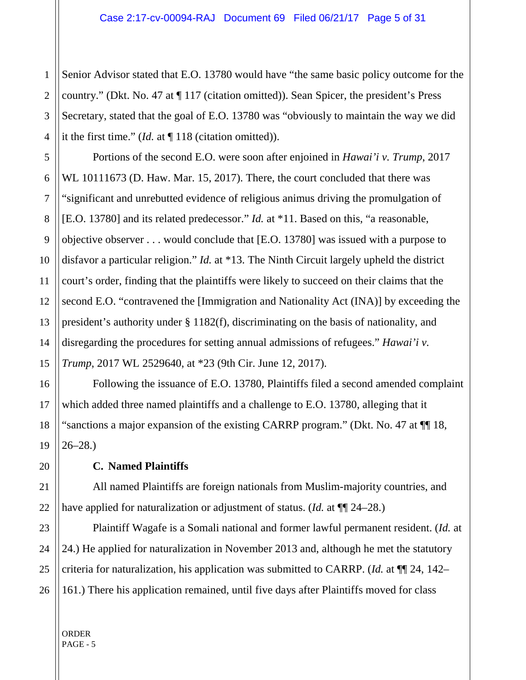1 Senior Advisor stated that E.O. 13780 would have "the same basic policy outcome for the country." (Dkt. No. 47 at ¶ 117 (citation omitted)). Sean Spicer, the president's Press Secretary, stated that the goal of E.O. 13780 was "obviously to maintain the way we did it the first time." (*Id.* at ¶ 118 (citation omitted)).

Portions of the second E.O. were soon after enjoined in *Hawai'i v. Trump*, 2017 WL 10111673 (D. Haw. Mar. 15, 2017). There, the court concluded that there was "significant and unrebutted evidence of religious animus driving the promulgation of [E.O. 13780] and its related predecessor." *Id.* at \*11. Based on this, "a reasonable, objective observer . . . would conclude that [E.O. 13780] was issued with a purpose to disfavor a particular religion." *Id.* at \*13. The Ninth Circuit largely upheld the district court's order, finding that the plaintiffs were likely to succeed on their claims that the second E.O. "contravened the [Immigration and Nationality Act (INA)] by exceeding the president's authority under § 1182(f), discriminating on the basis of nationality, and disregarding the procedures for setting annual admissions of refugees." *Hawai'i v. Trump*, 2017 WL 2529640, at \*23 (9th Cir. June 12, 2017).

Following the issuance of E.O. 13780, Plaintiffs filed a second amended complaint which added three named plaintiffs and a challenge to E.O. 13780, alleging that it "sanctions a major expansion of the existing CARRP program." (Dkt. No. 47 at ¶¶ 18, 26–28.)

**C. Named Plaintiffs**

All named Plaintiffs are foreign nationals from Muslim-majority countries, and have applied for naturalization or adjustment of status. (*Id.* at ¶¶ 24–28.)

Plaintiff Wagafe is a Somali national and former lawful permanent resident. (*Id.* at 24.) He applied for naturalization in November 2013 and, although he met the statutory criteria for naturalization, his application was submitted to CARRP. (*Id.* at ¶¶ 24, 142– 161.) There his application remained, until five days after Plaintiffs moved for class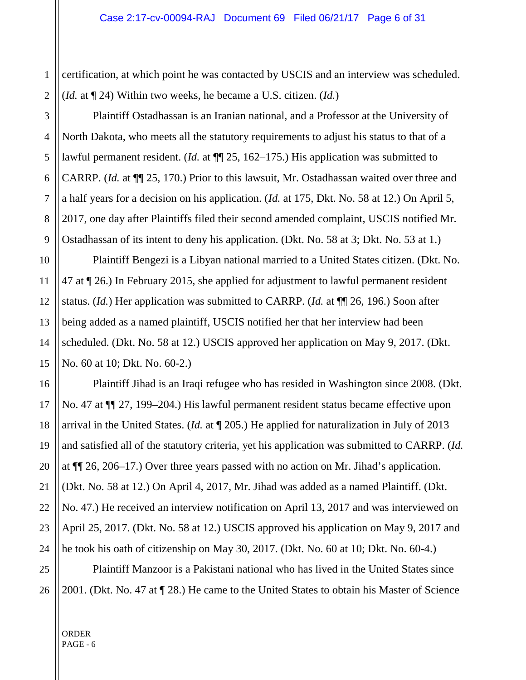certification, at which point he was contacted by USCIS and an interview was scheduled. (*Id.* at ¶ 24) Within two weeks, he became a U.S. citizen. (*Id.*)

Plaintiff Ostadhassan is an Iranian national, and a Professor at the University of North Dakota, who meets all the statutory requirements to adjust his status to that of a lawful permanent resident. (*Id.* at ¶¶ 25, 162–175.) His application was submitted to CARRP. (*Id.* at ¶¶ 25, 170.) Prior to this lawsuit, Mr. Ostadhassan waited over three and a half years for a decision on his application. (*Id.* at 175, Dkt. No. 58 at 12.) On April 5, 2017, one day after Plaintiffs filed their second amended complaint, USCIS notified Mr. Ostadhassan of its intent to deny his application. (Dkt. No. 58 at 3; Dkt. No. 53 at 1.)

Plaintiff Bengezi is a Libyan national married to a United States citizen. (Dkt. No. 47 at ¶ 26.) In February 2015, she applied for adjustment to lawful permanent resident status. (*Id.*) Her application was submitted to CARRP. (*Id.* at ¶¶ 26, 196.) Soon after being added as a named plaintiff, USCIS notified her that her interview had been scheduled. (Dkt. No. 58 at 12.) USCIS approved her application on May 9, 2017. (Dkt. No. 60 at 10; Dkt. No. 60-2.)

Plaintiff Jihad is an Iraqi refugee who has resided in Washington since 2008. (Dkt. No. 47 at ¶¶ 27, 199–204.) His lawful permanent resident status became effective upon arrival in the United States. (*Id.* at ¶ 205.) He applied for naturalization in July of 2013 and satisfied all of the statutory criteria, yet his application was submitted to CARRP. (*Id.* at ¶¶ 26, 206–17.) Over three years passed with no action on Mr. Jihad's application. (Dkt. No. 58 at 12.) On April 4, 2017, Mr. Jihad was added as a named Plaintiff. (Dkt. No. 47.) He received an interview notification on April 13, 2017 and was interviewed on April 25, 2017. (Dkt. No. 58 at 12.) USCIS approved his application on May 9, 2017 and he took his oath of citizenship on May 30, 2017. (Dkt. No. 60 at 10; Dkt. No. 60-4.)

Plaintiff Manzoor is a Pakistani national who has lived in the United States since 2001. (Dkt. No. 47 at ¶ 28.) He came to the United States to obtain his Master of Science

ORDER PAGE - 6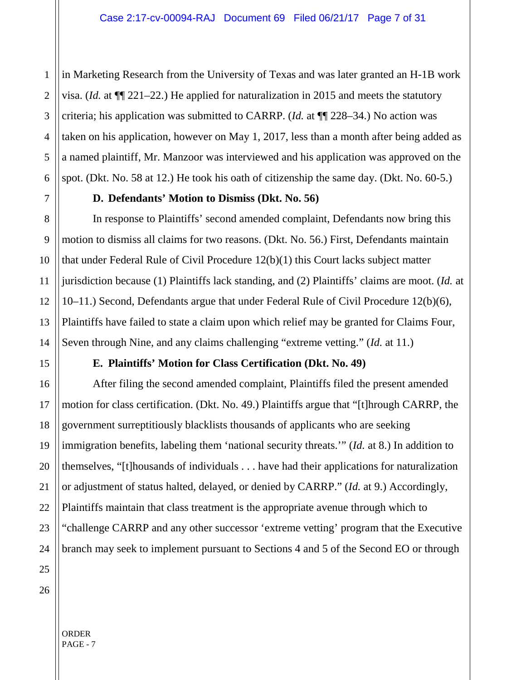in Marketing Research from the University of Texas and was later granted an H-1B work visa. (*Id.* at ¶¶ 221–22.) He applied for naturalization in 2015 and meets the statutory criteria; his application was submitted to CARRP. (*Id.* at ¶¶ 228–34.) No action was taken on his application, however on May 1, 2017, less than a month after being added as a named plaintiff, Mr. Manzoor was interviewed and his application was approved on the spot. (Dkt. No. 58 at 12.) He took his oath of citizenship the same day. (Dkt. No. 60-5.)

# **D. Defendants' Motion to Dismiss (Dkt. No. 56)**

In response to Plaintiffs' second amended complaint, Defendants now bring this motion to dismiss all claims for two reasons. (Dkt. No. 56.) First, Defendants maintain that under Federal Rule of Civil Procedure 12(b)(1) this Court lacks subject matter jurisdiction because (1) Plaintiffs lack standing, and (2) Plaintiffs' claims are moot. (*Id.* at 10–11.) Second, Defendants argue that under Federal Rule of Civil Procedure 12(b)(6), Plaintiffs have failed to state a claim upon which relief may be granted for Claims Four, Seven through Nine, and any claims challenging "extreme vetting." (*Id.* at 11.)

# **E. Plaintiffs' Motion for Class Certification (Dkt. No. 49)**

After filing the second amended complaint, Plaintiffs filed the present amended motion for class certification. (Dkt. No. 49.) Plaintiffs argue that "[t]hrough CARRP, the government surreptitiously blacklists thousands of applicants who are seeking immigration benefits, labeling them 'national security threats.'" (*Id.* at 8.) In addition to themselves, "[t]housands of individuals . . . have had their applications for naturalization or adjustment of status halted, delayed, or denied by CARRP." (*Id.* at 9.) Accordingly, Plaintiffs maintain that class treatment is the appropriate avenue through which to "challenge CARRP and any other successor 'extreme vetting' program that the Executive branch may seek to implement pursuant to Sections 4 and 5 of the Second EO or through

1

2

3

4

5

6

7

8

9

10

11

12

13

14

15

16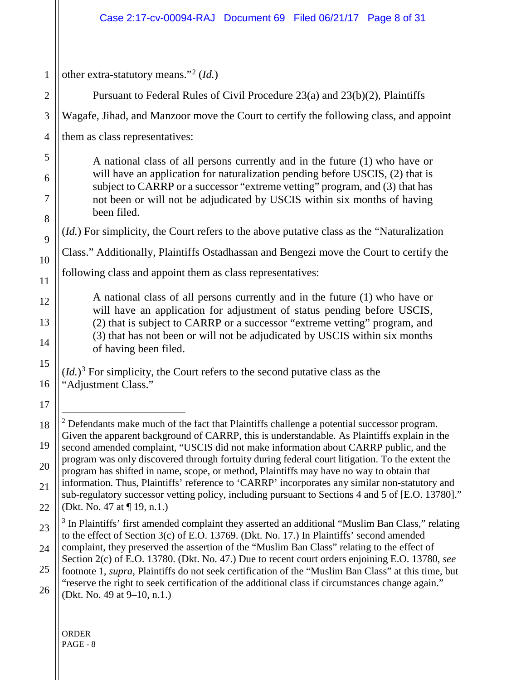<span id="page-7-1"></span><span id="page-7-0"></span>

| other extra-statutory means." <sup>2</sup> ( <i>Id.</i> )                                                                                                                                                                                                                                                                                                                                                                                                                                                                                                                                                                                                                                                                      |                                                                                                                                                                                                                                                                                                                                                                                                                                          |       |
|--------------------------------------------------------------------------------------------------------------------------------------------------------------------------------------------------------------------------------------------------------------------------------------------------------------------------------------------------------------------------------------------------------------------------------------------------------------------------------------------------------------------------------------------------------------------------------------------------------------------------------------------------------------------------------------------------------------------------------|------------------------------------------------------------------------------------------------------------------------------------------------------------------------------------------------------------------------------------------------------------------------------------------------------------------------------------------------------------------------------------------------------------------------------------------|-------|
| Pursuant to Federal Rules of Civil Procedure 23(a) and 23(b)(2), Plaintiffs                                                                                                                                                                                                                                                                                                                                                                                                                                                                                                                                                                                                                                                    |                                                                                                                                                                                                                                                                                                                                                                                                                                          |       |
| Wagafe, Jihad, and Manzoor move the Court to certify the following class, and appoint                                                                                                                                                                                                                                                                                                                                                                                                                                                                                                                                                                                                                                          |                                                                                                                                                                                                                                                                                                                                                                                                                                          |       |
| them as class representatives:                                                                                                                                                                                                                                                                                                                                                                                                                                                                                                                                                                                                                                                                                                 |                                                                                                                                                                                                                                                                                                                                                                                                                                          |       |
| A national class of all persons currently and in the future (1) who have or<br>will have an application for naturalization pending before USCIS, (2) that is<br>subject to CARRP or a successor "extreme vetting" program, and (3) that has<br>not been or will not be adjudicated by USCIS within six months of having<br>been filed.                                                                                                                                                                                                                                                                                                                                                                                         |                                                                                                                                                                                                                                                                                                                                                                                                                                          |       |
|                                                                                                                                                                                                                                                                                                                                                                                                                                                                                                                                                                                                                                                                                                                                | ( <i>Id.</i> ) For simplicity, the Court refers to the above putative class as the "Naturalization"                                                                                                                                                                                                                                                                                                                                      |       |
|                                                                                                                                                                                                                                                                                                                                                                                                                                                                                                                                                                                                                                                                                                                                |                                                                                                                                                                                                                                                                                                                                                                                                                                          |       |
| Class." Additionally, Plaintiffs Ostadhassan and Bengezi move the Court to certify the                                                                                                                                                                                                                                                                                                                                                                                                                                                                                                                                                                                                                                         |                                                                                                                                                                                                                                                                                                                                                                                                                                          |       |
| following class and appoint them as class representatives:                                                                                                                                                                                                                                                                                                                                                                                                                                                                                                                                                                                                                                                                     |                                                                                                                                                                                                                                                                                                                                                                                                                                          |       |
| A national class of all persons currently and in the future (1) who have or<br>will have an application for adjustment of status pending before USCIS,                                                                                                                                                                                                                                                                                                                                                                                                                                                                                                                                                                         |                                                                                                                                                                                                                                                                                                                                                                                                                                          |       |
| (2) that is subject to CARRP or a successor "extreme vetting" program, and<br>(3) that has not been or will not be adjudicated by USCIS within six months<br>of having been filed.                                                                                                                                                                                                                                                                                                                                                                                                                                                                                                                                             |                                                                                                                                                                                                                                                                                                                                                                                                                                          |       |
|                                                                                                                                                                                                                                                                                                                                                                                                                                                                                                                                                                                                                                                                                                                                | $(id.)^3$ For simplicity, the Court refers to the second putative class as the                                                                                                                                                                                                                                                                                                                                                           |       |
| "Adjustment Class."                                                                                                                                                                                                                                                                                                                                                                                                                                                                                                                                                                                                                                                                                                            |                                                                                                                                                                                                                                                                                                                                                                                                                                          |       |
|                                                                                                                                                                                                                                                                                                                                                                                                                                                                                                                                                                                                                                                                                                                                |                                                                                                                                                                                                                                                                                                                                                                                                                                          |       |
| $2$ Defendants make much of the fact that Plaintiffs challenge a potential successor program.<br>Given the apparent background of CARRP, this is understandable. As Plaintiffs explain in the<br>second amended complaint, "USCIS did not make information about CARRP public, and the<br>program was only discovered through fortuity during federal court litigation. To the extent the<br>program has shifted in name, scope, or method, Plaintiffs may have no way to obtain that<br>information. Thus, Plaintiffs' reference to 'CARRP' incorporates any similar non-statutory and<br>sub-regulatory successor vetting policy, including pursuant to Sections 4 and 5 of [E.O. 13780]."<br>(Dkt. No. 47 at $\P$ 19, n.1.) |                                                                                                                                                                                                                                                                                                                                                                                                                                          |       |
|                                                                                                                                                                                                                                                                                                                                                                                                                                                                                                                                                                                                                                                                                                                                | <sup>3</sup> In Plaintiffs' first amended complaint they asserted an additional "Muslim Ban Class," relating<br>to the effect of Section 3(c) of E.O. 13769. (Dkt. No. 17.) In Plaintiffs' second amended                                                                                                                                                                                                                                |       |
|                                                                                                                                                                                                                                                                                                                                                                                                                                                                                                                                                                                                                                                                                                                                | complaint, they preserved the assertion of the "Muslim Ban Class" relating to the effect of<br>Section 2(c) of E.O. 13780. (Dkt. No. 47.) Due to recent court orders enjoining E.O. 13780, see<br>footnote 1, supra, Plaintiffs do not seek certification of the "Muslim Ban Class" at this time, but<br>"reserve the right to seek certification of the additional class if circumstances change again."<br>(Dkt. No. 49 at 9–10, n.1.) |       |
|                                                                                                                                                                                                                                                                                                                                                                                                                                                                                                                                                                                                                                                                                                                                |                                                                                                                                                                                                                                                                                                                                                                                                                                          | ORDER |
|                                                                                                                                                                                                                                                                                                                                                                                                                                                                                                                                                                                                                                                                                                                                |                                                                                                                                                                                                                                                                                                                                                                                                                                          |       |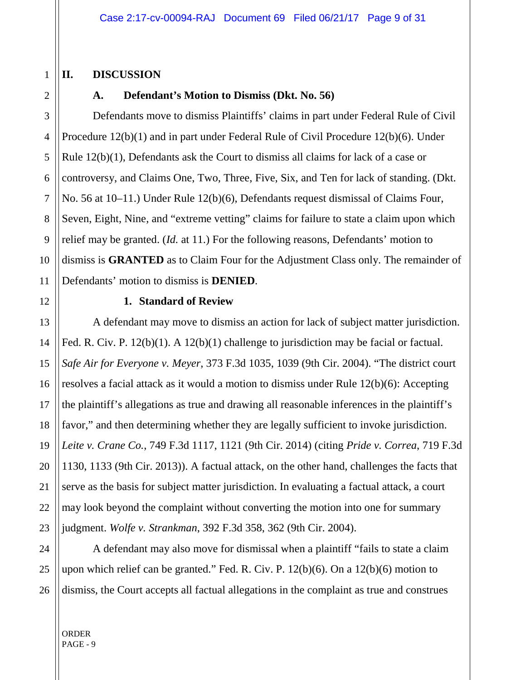# **II. DISCUSSION**

#### **A. Defendant's Motion to Dismiss (Dkt. No. 56)**

4 5 6 7 8 10 Defendants move to dismiss Plaintiffs' claims in part under Federal Rule of Civil Procedure 12(b)(1) and in part under Federal Rule of Civil Procedure 12(b)(6). Under Rule 12(b)(1), Defendants ask the Court to dismiss all claims for lack of a case or controversy, and Claims One, Two, Three, Five, Six, and Ten for lack of standing. (Dkt. No. 56 at 10–11.) Under Rule 12(b)(6), Defendants request dismissal of Claims Four, Seven, Eight, Nine, and "extreme vetting" claims for failure to state a claim upon which relief may be granted. (*Id.* at 11.) For the following reasons, Defendants' motion to dismiss is **GRANTED** as to Claim Four for the Adjustment Class only. The remainder of Defendants' motion to dismiss is **DENIED**.

19

20

21

22

23

9

1

2

3

#### **1. Standard of Review**

A defendant may move to dismiss an action for lack of subject matter jurisdiction. Fed. R. Civ. P. 12(b)(1). A 12(b)(1) challenge to jurisdiction may be facial or factual. *Safe Air for Everyone v. Meyer*, 373 F.3d 1035, 1039 (9th Cir. 2004). "The district court resolves a facial attack as it would a motion to dismiss under Rule 12(b)(6): Accepting the plaintiff's allegations as true and drawing all reasonable inferences in the plaintiff's favor," and then determining whether they are legally sufficient to invoke jurisdiction. *Leite v. Crane Co.*, 749 F.3d 1117, 1121 (9th Cir. 2014) (citing *Pride v. Correa*, 719 F.3d 1130, 1133 (9th Cir. 2013)). A factual attack, on the other hand, challenges the facts that serve as the basis for subject matter jurisdiction. In evaluating a factual attack, a court may look beyond the complaint without converting the motion into one for summary judgment. *Wolfe v. Strankman*, 392 F.3d 358, 362 (9th Cir. 2004).

24 25 26 A defendant may also move for dismissal when a plaintiff "fails to state a claim upon which relief can be granted." Fed. R. Civ. P. 12(b)(6). On a 12(b)(6) motion to dismiss, the Court accepts all factual allegations in the complaint as true and construes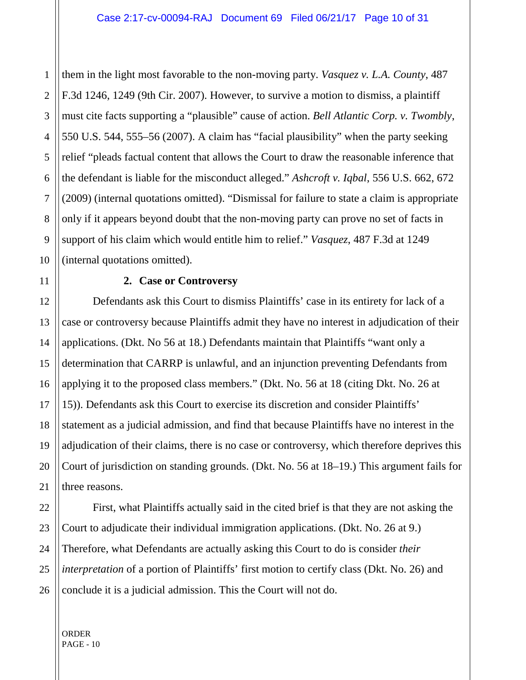them in the light most favorable to the non-moving party. *Vasquez v. L.A. County*, 487 F.3d 1246, 1249 (9th Cir. 2007). However, to survive a motion to dismiss, a plaintiff must cite facts supporting a "plausible" cause of action. *Bell Atlantic Corp. v. Twombly*, 550 U.S. 544, 555–56 (2007). A claim has "facial plausibility" when the party seeking relief "pleads factual content that allows the Court to draw the reasonable inference that the defendant is liable for the misconduct alleged." *Ashcroft v. Iqbal*, 556 U.S. 662, 672 (2009) (internal quotations omitted). "Dismissal for failure to state a claim is appropriate only if it appears beyond doubt that the non-moving party can prove no set of facts in support of his claim which would entitle him to relief." *Vasquez*, 487 F.3d at 1249 (internal quotations omitted).

#### **2. Case or Controversy**

Defendants ask this Court to dismiss Plaintiffs' case in its entirety for lack of a case or controversy because Plaintiffs admit they have no interest in adjudication of their applications. (Dkt. No 56 at 18.) Defendants maintain that Plaintiffs "want only a determination that CARRP is unlawful, and an injunction preventing Defendants from applying it to the proposed class members." (Dkt. No. 56 at 18 (citing Dkt. No. 26 at 15)). Defendants ask this Court to exercise its discretion and consider Plaintiffs' statement as a judicial admission, and find that because Plaintiffs have no interest in the adjudication of their claims, there is no case or controversy, which therefore deprives this Court of jurisdiction on standing grounds. (Dkt. No. 56 at 18–19.) This argument fails for three reasons.

First, what Plaintiffs actually said in the cited brief is that they are not asking the Court to adjudicate their individual immigration applications. (Dkt. No. 26 at 9.) Therefore, what Defendants are actually asking this Court to do is consider *their interpretation* of a portion of Plaintiffs' first motion to certify class (Dkt. No. 26) and conclude it is a judicial admission. This the Court will not do.

ORDER PAGE - 10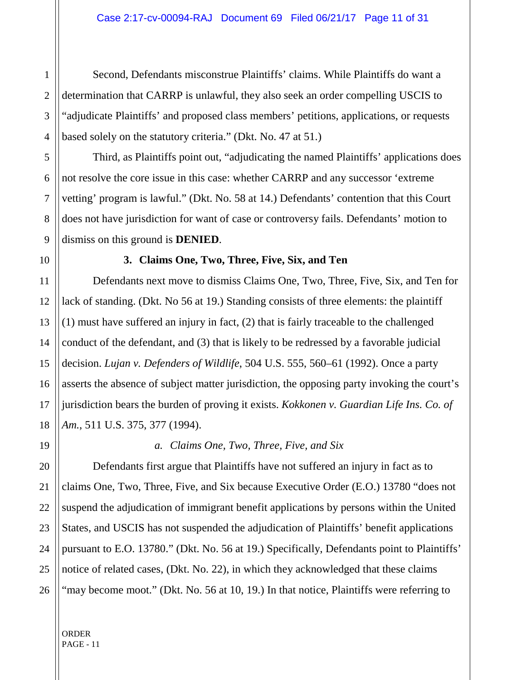Second, Defendants misconstrue Plaintiffs' claims. While Plaintiffs do want a determination that CARRP is unlawful, they also seek an order compelling USCIS to "adjudicate Plaintiffs' and proposed class members' petitions, applications, or requests based solely on the statutory criteria." (Dkt. No. 47 at 51.)

Third, as Plaintiffs point out, "adjudicating the named Plaintiffs' applications does not resolve the core issue in this case: whether CARRP and any successor 'extreme vetting' program is lawful." (Dkt. No. 58 at 14.) Defendants' contention that this Court does not have jurisdiction for want of case or controversy fails. Defendants' motion to dismiss on this ground is **DENIED**.

1

#### **3. Claims One, Two, Three, Five, Six, and Ten**

Defendants next move to dismiss Claims One, Two, Three, Five, Six, and Ten for lack of standing. (Dkt. No 56 at 19.) Standing consists of three elements: the plaintiff (1) must have suffered an injury in fact, (2) that is fairly traceable to the challenged conduct of the defendant, and (3) that is likely to be redressed by a favorable judicial decision. *Lujan v. Defenders of Wildlife*, 504 U.S. 555, 560–61 (1992). Once a party asserts the absence of subject matter jurisdiction, the opposing party invoking the court's jurisdiction bears the burden of proving it exists. *Kokkonen v. Guardian Life Ins. Co. of Am.*, 511 U.S. 375, 377 (1994).

# *a. Claims One, Two, Three, Five, and Six*

Defendants first argue that Plaintiffs have not suffered an injury in fact as to claims One, Two, Three, Five, and Six because Executive Order (E.O.) 13780 "does not suspend the adjudication of immigrant benefit applications by persons within the United States, and USCIS has not suspended the adjudication of Plaintiffs' benefit applications pursuant to E.O. 13780." (Dkt. No. 56 at 19.) Specifically, Defendants point to Plaintiffs' notice of related cases, (Dkt. No. 22), in which they acknowledged that these claims "may become moot." (Dkt. No. 56 at 10, 19.) In that notice, Plaintiffs were referring to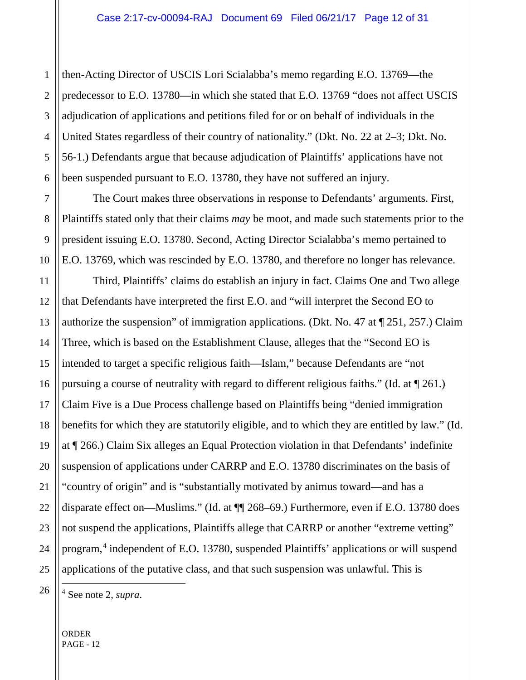3 4 5 6 then-Acting Director of USCIS Lori Scialabba's memo regarding E.O. 13769—the predecessor to E.O. 13780—in which she stated that E.O. 13769 "does not affect USCIS adjudication of applications and petitions filed for or on behalf of individuals in the United States regardless of their country of nationality." (Dkt. No. 22 at 2–3; Dkt. No. 56-1.) Defendants argue that because adjudication of Plaintiffs' applications have not been suspended pursuant to E.O. 13780, they have not suffered an injury.

The Court makes three observations in response to Defendants' arguments. First, Plaintiffs stated only that their claims *may* be moot, and made such statements prior to the president issuing E.O. 13780. Second, Acting Director Scialabba's memo pertained to E.O. 13769, which was rescinded by E.O. 13780, and therefore no longer has relevance.

Third, Plaintiffs' claims do establish an injury in fact. Claims One and Two allege that Defendants have interpreted the first E.O. and "will interpret the Second EO to authorize the suspension" of immigration applications. (Dkt. No. 47 at ¶ 251, 257.) Claim Three, which is based on the Establishment Clause, alleges that the "Second EO is intended to target a specific religious faith—Islam," because Defendants are "not pursuing a course of neutrality with regard to different religious faiths." (Id. at ¶ 261.) Claim Five is a Due Process challenge based on Plaintiffs being "denied immigration benefits for which they are statutorily eligible, and to which they are entitled by law." (Id. at ¶ 266.) Claim Six alleges an Equal Protection violation in that Defendants' indefinite suspension of applications under CARRP and E.O. 13780 discriminates on the basis of "country of origin" and is "substantially motivated by animus toward—and has a disparate effect on—Muslims." (Id. at ¶¶ 268–69.) Furthermore, even if E.O. 13780 does not suspend the applications, Plaintiffs allege that CARRP or another "extreme vetting" program,[4](#page-11-0) independent of E.O. 13780, suspended Plaintiffs' applications or will suspend applications of the putative class, and that such suspension was unlawful. This is

1

2

7

8

9

10

11

12

13

14

15

16

17

18

19

20

21

22

23

24

<span id="page-11-0"></span>25

4 See note 2, *supra*.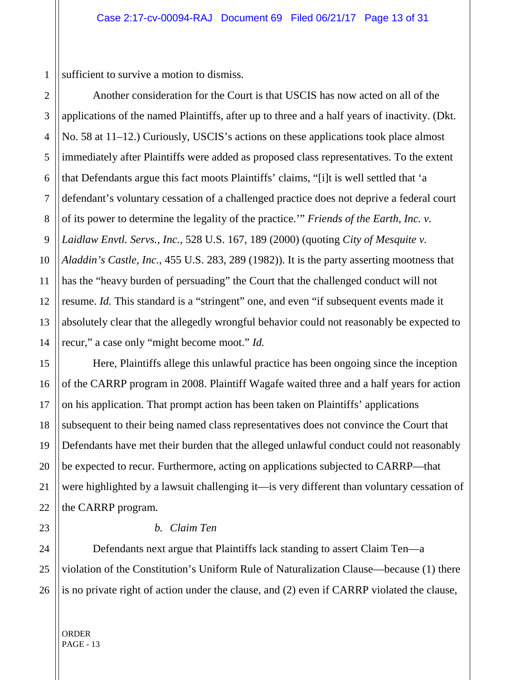1 sufficient to survive a motion to dismiss.

Another consideration for the Court is that USCIS has now acted on all of the applications of the named Plaintiffs, after up to three and a half years of inactivity. (Dkt. No. 58 at 11–12.) Curiously, USCIS's actions on these applications took place almost immediately after Plaintiffs were added as proposed class representatives. To the extent that Defendants argue this fact moots Plaintiffs' claims, "[i]t is well settled that 'a defendant's voluntary cessation of a challenged practice does not deprive a federal court of its power to determine the legality of the practice.'" *Friends of the Earth, Inc. v. Laidlaw Envtl. Servs., Inc.*, 528 U.S. 167, 189 (2000) (quoting *City of Mesquite v. Aladdin's Castle, Inc.*, 455 U.S. 283, 289 (1982)). It is the party asserting mootness that has the "heavy burden of persuading" the Court that the challenged conduct will not resume. *Id.* This standard is a "stringent" one, and even "if subsequent events made it absolutely clear that the allegedly wrongful behavior could not reasonably be expected to recur," a case only "might become moot." *Id.*

Here, Plaintiffs allege this unlawful practice has been ongoing since the inception of the CARRP program in 2008. Plaintiff Wagafe waited three and a half years for action on his application. That prompt action has been taken on Plaintiffs' applications subsequent to their being named class representatives does not convince the Court that Defendants have met their burden that the alleged unlawful conduct could not reasonably be expected to recur. Furthermore, acting on applications subjected to CARRP—that were highlighted by a lawsuit challenging it—is very different than voluntary cessation of the CARRP program.

#### *b. Claim Ten*

Defendants next argue that Plaintiffs lack standing to assert Claim Ten—a violation of the Constitution's Uniform Rule of Naturalization Clause—because (1) there is no private right of action under the clause, and (2) even if CARRP violated the clause,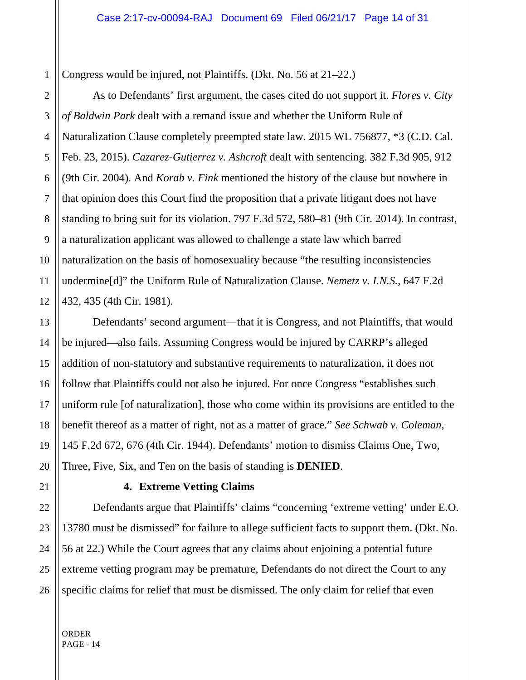Congress would be injured, not Plaintiffs. (Dkt. No. 56 at 21–22.)

As to Defendants' first argument, the cases cited do not support it. *Flores v. City of Baldwin Park* dealt with a remand issue and whether the Uniform Rule of Naturalization Clause completely preempted state law. 2015 WL 756877, \*3 (C.D. Cal. Feb. 23, 2015). *Cazarez-Gutierrez v. Ashcroft* dealt with sentencing. 382 F.3d 905, 912 (9th Cir. 2004). And *Korab v. Fink* mentioned the history of the clause but nowhere in that opinion does this Court find the proposition that a private litigant does not have standing to bring suit for its violation. 797 F.3d 572, 580–81 (9th Cir. 2014). In contrast, a naturalization applicant was allowed to challenge a state law which barred naturalization on the basis of homosexuality because "the resulting inconsistencies undermine[d]" the Uniform Rule of Naturalization Clause. *Nemetz v. I.N.S.*, 647 F.2d 432, 435 (4th Cir. 1981).

Defendants' second argument—that it is Congress, and not Plaintiffs, that would be injured—also fails. Assuming Congress would be injured by CARRP's alleged addition of non-statutory and substantive requirements to naturalization, it does not follow that Plaintiffs could not also be injured. For once Congress "establishes such uniform rule [of naturalization], those who come within its provisions are entitled to the benefit thereof as a matter of right, not as a matter of grace." *See Schwab v. Coleman*, 145 F.2d 672, 676 (4th Cir. 1944). Defendants' motion to dismiss Claims One, Two, Three, Five, Six, and Ten on the basis of standing is **DENIED**.

#### **4. Extreme Vetting Claims**

Defendants argue that Plaintiffs' claims "concerning 'extreme vetting' under E.O. 13780 must be dismissed" for failure to allege sufficient facts to support them. (Dkt. No. 56 at 22.) While the Court agrees that any claims about enjoining a potential future extreme vetting program may be premature, Defendants do not direct the Court to any specific claims for relief that must be dismissed. The only claim for relief that even

ORDER PAGE - 14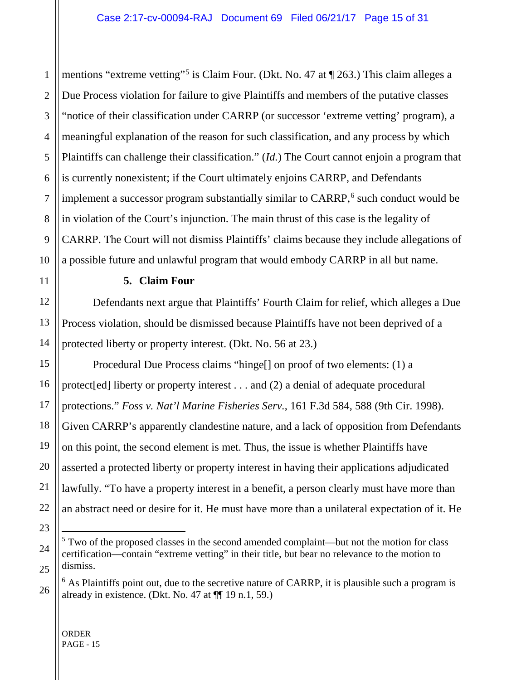mentions "extreme vetting"<sup>[5](#page-14-0)</sup> is Claim Four. (Dkt. No. 47 at ¶ 263.) This claim alleges a Due Process violation for failure to give Plaintiffs and members of the putative classes "notice of their classification under CARRP (or successor 'extreme vetting' program), a meaningful explanation of the reason for such classification, and any process by which Plaintiffs can challenge their classification." (*Id.*) The Court cannot enjoin a program that is currently nonexistent; if the Court ultimately enjoins CARRP, and Defendants implement a successor program substantially similar to CARRP,<sup>[6](#page-14-1)</sup> such conduct would be in violation of the Court's injunction. The main thrust of this case is the legality of CARRP. The Court will not dismiss Plaintiffs' claims because they include allegations of a possible future and unlawful program that would embody CARRP in all but name.

**5. Claim Four** 

Defendants next argue that Plaintiffs' Fourth Claim for relief, which alleges a Due Process violation, should be dismissed because Plaintiffs have not been deprived of a protected liberty or property interest. (Dkt. No. 56 at 23.)

Procedural Due Process claims "hinge[] on proof of two elements: (1) a protect[ed] liberty or property interest . . . and (2) a denial of adequate procedural protections." *Foss v. Nat'l Marine Fisheries Serv.*, 161 F.3d 584, 588 (9th Cir. 1998). Given CARRP's apparently clandestine nature, and a lack of opposition from Defendants on this point, the second element is met. Thus, the issue is whether Plaintiffs have asserted a protected liberty or property interest in having their applications adjudicated lawfully. "To have a property interest in a benefit, a person clearly must have more than an abstract need or desire for it. He must have more than a unilateral expectation of it. He

1

2

<span id="page-14-0"></span><sup>&</sup>lt;sup>5</sup> Two of the proposed classes in the second amended complaint—but not the motion for class certification—contain "extreme vetting" in their title, but bear no relevance to the motion to dismiss.

<span id="page-14-1"></span> $6$  As Plaintiffs point out, due to the secretive nature of CARRP, it is plausible such a program is already in existence. (Dkt. No. 47 at  $\P$  19 n.1, 59.)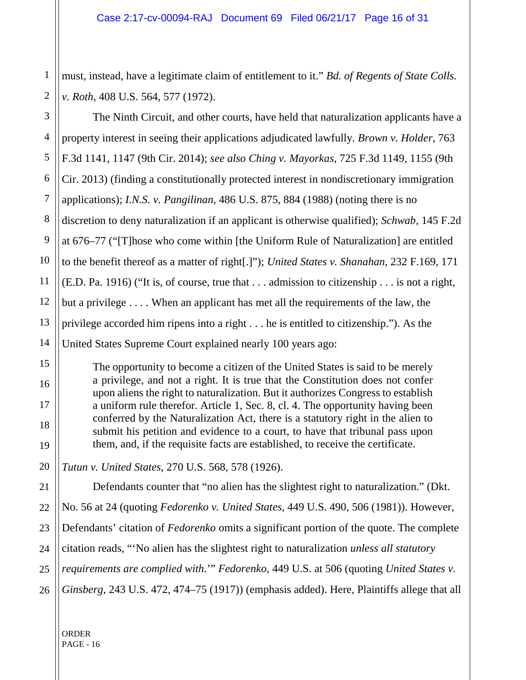must, instead, have a legitimate claim of entitlement to it." *Bd. of Regents of State Colls. v. Roth*, 408 U.S. 564, 577 (1972).

The Ninth Circuit, and other courts, have held that naturalization applicants have a property interest in seeing their applications adjudicated lawfully. *Brown v. Holder*, 763 F.3d 1141, 1147 (9th Cir. 2014); *see also Ching v. Mayorkas*, 725 F.3d 1149, 1155 (9th Cir. 2013) (finding a constitutionally protected interest in nondiscretionary immigration applications); *I.N.S. v. Pangilinan*, 486 U.S. 875, 884 (1988) (noting there is no discretion to deny naturalization if an applicant is otherwise qualified); *Schwab*, 145 F.2d at 676–77 ("[T]hose who come within [the Uniform Rule of Naturalization] are entitled to the benefit thereof as a matter of right[.]"); *United States v. Shanahan*, 232 F.169, 171 (E.D. Pa. 1916) ("It is, of course, true that . . . admission to citizenship . . . is not a right, but a privilege . . . . When an applicant has met all the requirements of the law, the privilege accorded him ripens into a right . . . he is entitled to citizenship."). As the United States Supreme Court explained nearly 100 years ago:

The opportunity to become a citizen of the United States is said to be merely a privilege, and not a right. It is true that the Constitution does not confer upon aliens the right to naturalization. But it authorizes Congress to establish a uniform rule therefor. Article 1, Sec. 8, cl. 4. The opportunity having been conferred by the Naturalization Act, there is a statutory right in the alien to submit his petition and evidence to a court, to have that tribunal pass upon them, and, if the requisite facts are established, to receive the certificate.

*Tutun v. United States*, 270 U.S. 568, 578 (1926).

Defendants counter that "no alien has the slightest right to naturalization." (Dkt. No. 56 at 24 (quoting *Fedorenko v. United States*, 449 U.S. 490, 506 (1981)). However, Defendants' citation of *Fedorenko* omits a significant portion of the quote. The complete citation reads, "'No alien has the slightest right to naturalization *unless all statutory requirements are complied with*.'" *Fedorenko*, 449 U.S. at 506 (quoting *United States v. Ginsberg*, 243 U.S. 472, 474–75 (1917)) (emphasis added). Here, Plaintiffs allege that all

ORDER PAGE - 16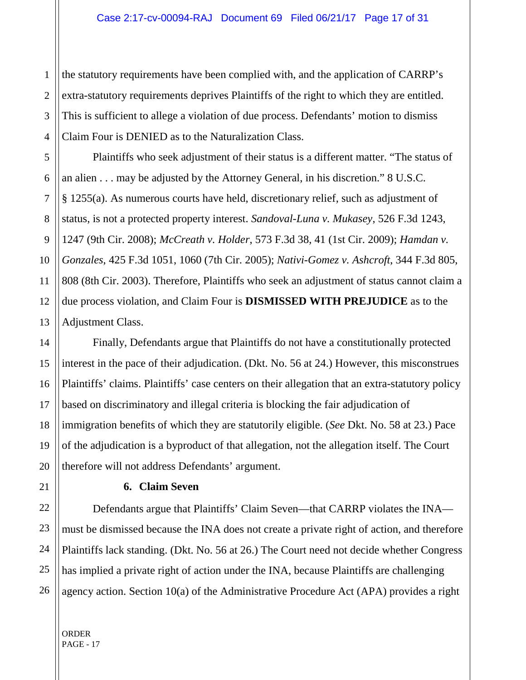3 4 the statutory requirements have been complied with, and the application of CARRP's extra-statutory requirements deprives Plaintiffs of the right to which they are entitled. This is sufficient to allege a violation of due process. Defendants' motion to dismiss Claim Four is DENIED as to the Naturalization Class.

Plaintiffs who seek adjustment of their status is a different matter. "The status of an alien . . . may be adjusted by the Attorney General, in his discretion." 8 U.S.C. § 1255(a). As numerous courts have held, discretionary relief, such as adjustment of status, is not a protected property interest. *Sandoval-Luna v. Mukasey*, 526 F.3d 1243, 1247 (9th Cir. 2008); *McCreath v. Holder*, 573 F.3d 38, 41 (1st Cir. 2009); *Hamdan v. Gonzales*, 425 F.3d 1051, 1060 (7th Cir. 2005); *Nativi-Gomez v. Ashcroft*, 344 F.3d 805, 808 (8th Cir. 2003). Therefore, Plaintiffs who seek an adjustment of status cannot claim a due process violation, and Claim Four is **DISMISSED WITH PREJUDICE** as to the Adjustment Class.

Finally, Defendants argue that Plaintiffs do not have a constitutionally protected interest in the pace of their adjudication. (Dkt. No. 56 at 24.) However, this misconstrues Plaintiffs' claims. Plaintiffs' case centers on their allegation that an extra-statutory policy based on discriminatory and illegal criteria is blocking the fair adjudication of immigration benefits of which they are statutorily eligible. (*See* Dkt. No. 58 at 23.) Pace of the adjudication is a byproduct of that allegation, not the allegation itself. The Court therefore will not address Defendants' argument.

#### **6. Claim Seven**

Defendants argue that Plaintiffs' Claim Seven—that CARRP violates the INA must be dismissed because the INA does not create a private right of action, and therefore Plaintiffs lack standing. (Dkt. No. 56 at 26.) The Court need not decide whether Congress has implied a private right of action under the INA, because Plaintiffs are challenging agency action. Section 10(a) of the Administrative Procedure Act (APA) provides a right

1

2

5

6

7

8

9

10

11

12

13

14

15

16

17

18

19

20

21

22

23

24

25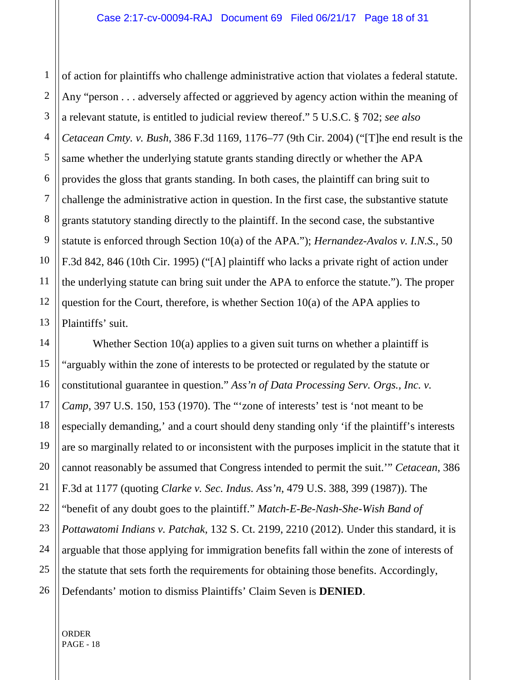1 2 3 4 5 6 7 8 9 10 11 12 13 of action for plaintiffs who challenge administrative action that violates a federal statute. Any "person . . . adversely affected or aggrieved by agency action within the meaning of a relevant statute, is entitled to judicial review thereof." 5 U.S.C. § 702; *see also Cetacean Cmty. v. Bush*, 386 F.3d 1169, 1176–77 (9th Cir. 2004) ("[T]he end result is the same whether the underlying statute grants standing directly or whether the APA provides the gloss that grants standing. In both cases, the plaintiff can bring suit to challenge the administrative action in question. In the first case, the substantive statute grants statutory standing directly to the plaintiff. In the second case, the substantive statute is enforced through Section 10(a) of the APA."); *Hernandez-Avalos v. I.N.S.*, 50 F.3d 842, 846 (10th Cir. 1995) ("[A] plaintiff who lacks a private right of action under the underlying statute can bring suit under the APA to enforce the statute."). The proper question for the Court, therefore, is whether Section 10(a) of the APA applies to Plaintiffs' suit.

Whether Section 10(a) applies to a given suit turns on whether a plaintiff is "arguably within the zone of interests to be protected or regulated by the statute or constitutional guarantee in question." *Ass'n of Data Processing Serv. Orgs., Inc. v. Camp*, 397 U.S. 150, 153 (1970). The "'zone of interests' test is 'not meant to be especially demanding,' and a court should deny standing only 'if the plaintiff's interests are so marginally related to or inconsistent with the purposes implicit in the statute that it cannot reasonably be assumed that Congress intended to permit the suit.'" *Cetacean*, 386 F.3d at 1177 (quoting *Clarke v. Sec. Indus. Ass'n*, 479 U.S. 388, 399 (1987)). The "benefit of any doubt goes to the plaintiff." *Match-E-Be-Nash-She-Wish Band of Pottawatomi Indians v. Patchak*, 132 S. Ct. 2199, 2210 (2012). Under this standard, it is arguable that those applying for immigration benefits fall within the zone of interests of the statute that sets forth the requirements for obtaining those benefits. Accordingly, Defendants' motion to dismiss Plaintiffs' Claim Seven is **DENIED**.

ORDER PAGE - 18

14

15

16

17

18

19

20

21

22

23

24

25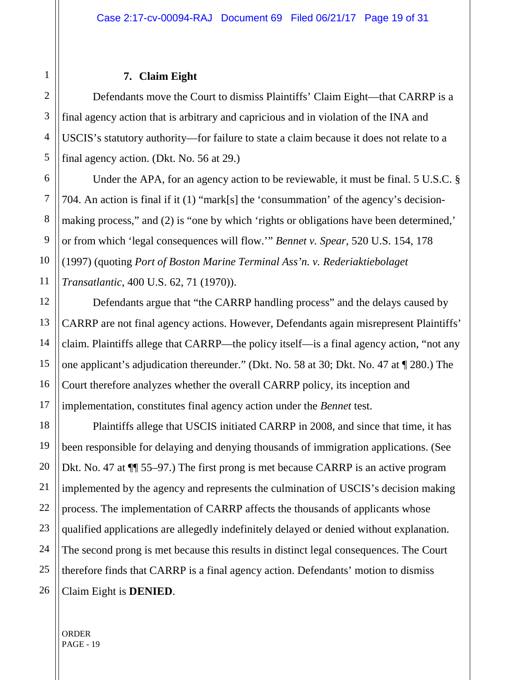### **7. Claim Eight**

Defendants move the Court to dismiss Plaintiffs' Claim Eight—that CARRP is a final agency action that is arbitrary and capricious and in violation of the INA and USCIS's statutory authority—for failure to state a claim because it does not relate to a final agency action. (Dkt. No. 56 at 29.)

Under the APA, for an agency action to be reviewable, it must be final. 5 U.S.C. § 704. An action is final if it (1) "mark[s] the 'consummation' of the agency's decisionmaking process," and (2) is "one by which 'rights or obligations have been determined," or from which 'legal consequences will flow.'" *Bennet v. Spear*, 520 U.S. 154, 178 (1997) (quoting *Port of Boston Marine Terminal Ass'n. v. Rederiaktiebolaget Transatlantic*, 400 U.S. 62, 71 (1970)).

Defendants argue that "the CARRP handling process" and the delays caused by CARRP are not final agency actions. However, Defendants again misrepresent Plaintiffs' claim. Plaintiffs allege that CARRP—the policy itself—is a final agency action, "not any one applicant's adjudication thereunder." (Dkt. No. 58 at 30; Dkt. No. 47 at ¶ 280.) The Court therefore analyzes whether the overall CARRP policy, its inception and implementation, constitutes final agency action under the *Bennet* test.

Plaintiffs allege that USCIS initiated CARRP in 2008, and since that time, it has been responsible for delaying and denying thousands of immigration applications. (See Dkt. No. 47 at ¶¶ 55–97.) The first prong is met because CARRP is an active program implemented by the agency and represents the culmination of USCIS's decision making process. The implementation of CARRP affects the thousands of applicants whose qualified applications are allegedly indefinitely delayed or denied without explanation. The second prong is met because this results in distinct legal consequences. The Court therefore finds that CARRP is a final agency action. Defendants' motion to dismiss Claim Eight is **DENIED**.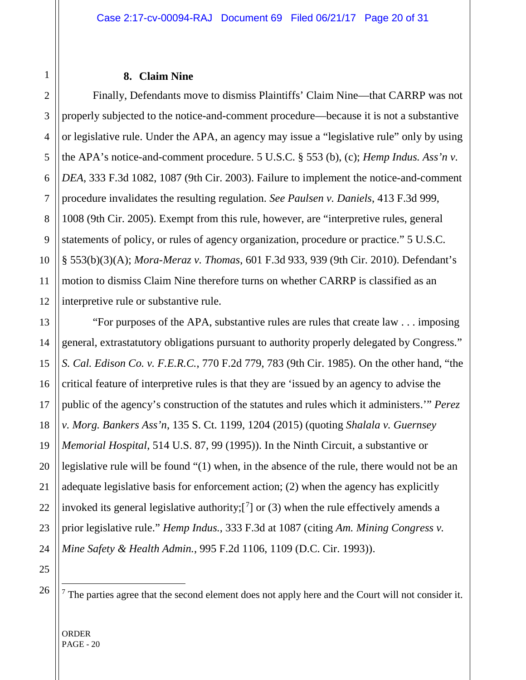#### **8. Claim Nine**

Finally, Defendants move to dismiss Plaintiffs' Claim Nine—that CARRP was not properly subjected to the notice-and-comment procedure—because it is not a substantive or legislative rule. Under the APA, an agency may issue a "legislative rule" only by using the APA's notice-and-comment procedure. 5 U.S.C. § 553 (b), (c); *Hemp Indus. Ass'n v. DEA*, 333 F.3d 1082, 1087 (9th Cir. 2003). Failure to implement the notice-and-comment procedure invalidates the resulting regulation. *See Paulsen v. Daniels*, 413 F.3d 999, 1008 (9th Cir. 2005). Exempt from this rule, however, are "interpretive rules, general statements of policy, or rules of agency organization, procedure or practice." 5 U.S.C. § 553(b)(3)(A); *Mora-Meraz v. Thomas*, 601 F.3d 933, 939 (9th Cir. 2010). Defendant's motion to dismiss Claim Nine therefore turns on whether CARRP is classified as an interpretive rule or substantive rule.

"For purposes of the APA, substantive rules are rules that create law . . . imposing general, extrastatutory obligations pursuant to authority properly delegated by Congress." *S. Cal. Edison Co. v. F.E.R.C.*, 770 F.2d 779, 783 (9th Cir. 1985). On the other hand, "the critical feature of interpretive rules is that they are 'issued by an agency to advise the public of the agency's construction of the statutes and rules which it administers.'" *Perez v. Morg. Bankers Ass'n*, 135 S. Ct. 1199, 1204 (2015) (quoting *Shalala v. Guernsey Memorial Hospital*, 514 U.S. 87, 99 (1995)). In the Ninth Circuit, a substantive or legislative rule will be found "(1) when, in the absence of the rule, there would not be an adequate legislative basis for enforcement action; (2) when the agency has explicitly invoked its general legislative authority; $[^7]$  $[^7]$  $[^7]$  or (3) when the rule effectively amends a prior legislative rule." *Hemp Indus.*, 333 F.3d at 1087 (citing *Am. Mining Congress v. Mine Safety & Health Admin.*, 995 F.2d 1106, 1109 (D.C. Cir. 1993)).

<span id="page-19-0"></span>

 $<sup>7</sup>$  The parties agree that the second element does not apply here and the Court will not consider it.</sup>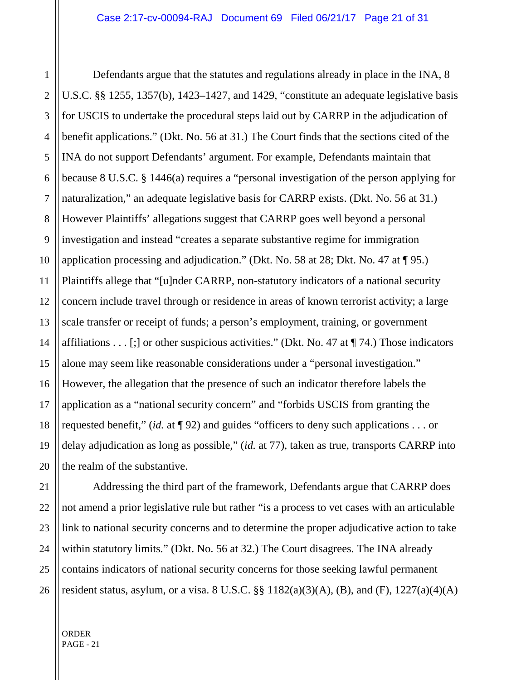Defendants argue that the statutes and regulations already in place in the INA, 8 U.S.C. §§ 1255, 1357(b), 1423–1427, and 1429, "constitute an adequate legislative basis for USCIS to undertake the procedural steps laid out by CARRP in the adjudication of benefit applications." (Dkt. No. 56 at 31.) The Court finds that the sections cited of the INA do not support Defendants' argument. For example, Defendants maintain that because 8 U.S.C. § 1446(a) requires a "personal investigation of the person applying for naturalization," an adequate legislative basis for CARRP exists. (Dkt. No. 56 at 31.) However Plaintiffs' allegations suggest that CARRP goes well beyond a personal investigation and instead "creates a separate substantive regime for immigration application processing and adjudication." (Dkt. No. 58 at 28; Dkt. No. 47 at ¶ 95.) Plaintiffs allege that "[u]nder CARRP, non-statutory indicators of a national security concern include travel through or residence in areas of known terrorist activity; a large scale transfer or receipt of funds; a person's employment, training, or government affiliations . . . [;] or other suspicious activities." (Dkt. No. 47 at  $\P$  74.) Those indicators alone may seem like reasonable considerations under a "personal investigation." However, the allegation that the presence of such an indicator therefore labels the application as a "national security concern" and "forbids USCIS from granting the requested benefit," (*id.* at ¶ 92) and guides "officers to deny such applications . . . or delay adjudication as long as possible," (*id.* at 77), taken as true, transports CARRP into the realm of the substantive.

Addressing the third part of the framework, Defendants argue that CARRP does not amend a prior legislative rule but rather "is a process to vet cases with an articulable link to national security concerns and to determine the proper adjudicative action to take within statutory limits." (Dkt. No. 56 at 32.) The Court disagrees. The INA already contains indicators of national security concerns for those seeking lawful permanent resident status, asylum, or a visa. 8 U.S.C.  $\S$  1182(a)(3)(A), (B), and (F), 1227(a)(4)(A)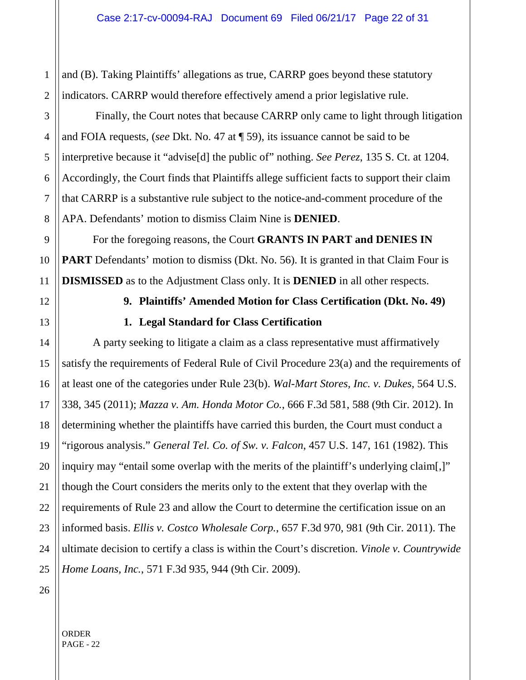1 2 and (B). Taking Plaintiffs' allegations as true, CARRP goes beyond these statutory indicators. CARRP would therefore effectively amend a prior legislative rule.

Finally, the Court notes that because CARRP only came to light through litigation and FOIA requests, (*see* Dkt. No. 47 at ¶ 59), its issuance cannot be said to be interpretive because it "advise[d] the public of" nothing. *See Perez*, 135 S. Ct. at 1204. Accordingly, the Court finds that Plaintiffs allege sufficient facts to support their claim that CARRP is a substantive rule subject to the notice-and-comment procedure of the APA. Defendants' motion to dismiss Claim Nine is **DENIED**.

For the foregoing reasons, the Court **GRANTS IN PART and DENIES IN PART** Defendants' motion to dismiss (Dkt. No. 56). It is granted in that Claim Four is **DISMISSED** as to the Adjustment Class only. It is **DENIED** in all other respects.

3

4

5

6

7

8

9

10

11

12

13

14

15

16

17

18

19

20

21

22

23

24

25

# **9. Plaintiffs' Amended Motion for Class Certification (Dkt. No. 49) 1. Legal Standard for Class Certification**

A party seeking to litigate a claim as a class representative must affirmatively satisfy the requirements of Federal Rule of Civil Procedure 23(a) and the requirements of at least one of the categories under Rule 23(b). *Wal-Mart Stores, Inc. v. Dukes*, 564 U.S. 338, 345 (2011); *Mazza v. Am. Honda Motor Co.*, 666 F.3d 581, 588 (9th Cir. 2012). In determining whether the plaintiffs have carried this burden, the Court must conduct a "rigorous analysis." *General Tel. Co. of Sw. v. Falcon*, 457 U.S. 147, 161 (1982). This inquiry may "entail some overlap with the merits of the plaintiff's underlying claim[,]" though the Court considers the merits only to the extent that they overlap with the requirements of Rule 23 and allow the Court to determine the certification issue on an informed basis. *Ellis v. Costco Wholesale Corp.*, 657 F.3d 970, 981 (9th Cir. 2011). The ultimate decision to certify a class is within the Court's discretion. *Vinole v. Countrywide Home Loans, Inc.*, 571 F.3d 935, 944 (9th Cir. 2009).

26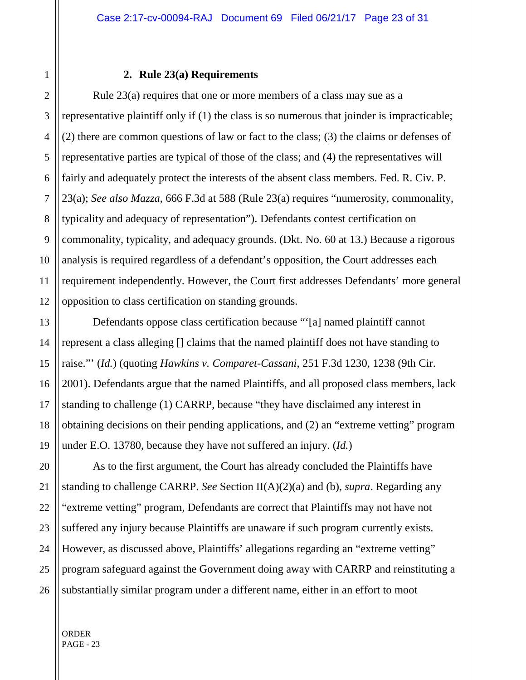#### **2. Rule 23(a) Requirements**

Rule 23(a) requires that one or more members of a class may sue as a representative plaintiff only if (1) the class is so numerous that joinder is impracticable; (2) there are common questions of law or fact to the class; (3) the claims or defenses of representative parties are typical of those of the class; and (4) the representatives will fairly and adequately protect the interests of the absent class members. Fed. R. Civ. P. 23(a); *See also Mazza*, 666 F.3d at 588 (Rule 23(a) requires "numerosity, commonality, typicality and adequacy of representation"). Defendants contest certification on commonality, typicality, and adequacy grounds. (Dkt. No. 60 at 13.) Because a rigorous analysis is required regardless of a defendant's opposition, the Court addresses each requirement independently. However, the Court first addresses Defendants' more general opposition to class certification on standing grounds.

Defendants oppose class certification because "'[a] named plaintiff cannot represent a class alleging [] claims that the named plaintiff does not have standing to raise."' (*Id.*) (quoting *Hawkins v. Comparet-Cassani*, 251 F.3d 1230, 1238 (9th Cir. 2001). Defendants argue that the named Plaintiffs, and all proposed class members, lack standing to challenge (1) CARRP, because "they have disclaimed any interest in obtaining decisions on their pending applications, and (2) an "extreme vetting" program under E.O. 13780, because they have not suffered an injury. (*Id.*)

As to the first argument, the Court has already concluded the Plaintiffs have standing to challenge CARRP. *See* Section II(A)(2)(a) and (b), *supra*. Regarding any "extreme vetting" program, Defendants are correct that Plaintiffs may not have not suffered any injury because Plaintiffs are unaware if such program currently exists. However, as discussed above, Plaintiffs' allegations regarding an "extreme vetting" program safeguard against the Government doing away with CARRP and reinstituting a substantially similar program under a different name, either in an effort to moot

1

2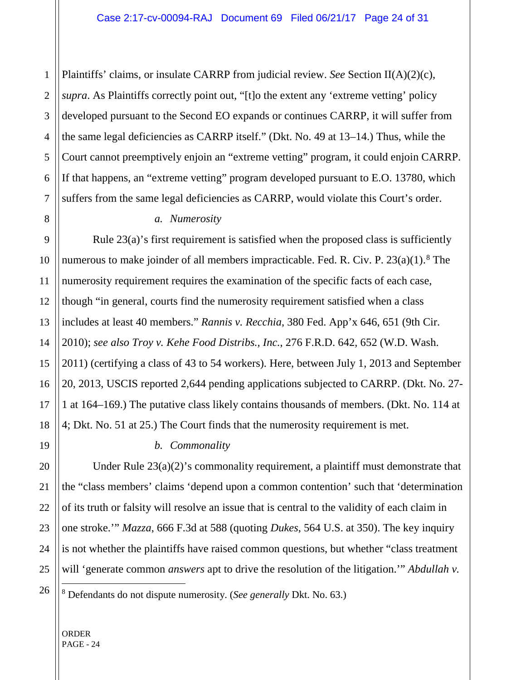Plaintiffs' claims, or insulate CARRP from judicial review. *See* Section II(A)(2)(c), *supra*. As Plaintiffs correctly point out, "[t]o the extent any 'extreme vetting' policy developed pursuant to the Second EO expands or continues CARRP, it will suffer from the same legal deficiencies as CARRP itself." (Dkt. No. 49 at 13–14.) Thus, while the Court cannot preemptively enjoin an "extreme vetting" program, it could enjoin CARRP. If that happens, an "extreme vetting" program developed pursuant to E.O. 13780, which suffers from the same legal deficiencies as CARRP, would violate this Court's order.

#### *a. Numerosity*

Rule 23(a)'s first requirement is satisfied when the proposed class is sufficiently numerous to make joinder of all members impracticable. Fed. R. Civ. P.  $23(a)(1)$ .<sup>[8](#page-23-0)</sup> The numerosity requirement requires the examination of the specific facts of each case, though "in general, courts find the numerosity requirement satisfied when a class includes at least 40 members." *Rannis v. Recchia*, 380 Fed. App'x 646, 651 (9th Cir. 2010); *see also Troy v. Kehe Food Distribs., Inc.*, 276 F.R.D. 642, 652 (W.D. Wash. 2011) (certifying a class of 43 to 54 workers). Here, between July 1, 2013 and September 20, 2013, USCIS reported 2,644 pending applications subjected to CARRP. (Dkt. No. 27- 1 at 164–169.) The putative class likely contains thousands of members. (Dkt. No. 114 at 4; Dkt. No. 51 at 25.) The Court finds that the numerosity requirement is met.

#### *b. Commonality*

Under Rule  $23(a)(2)$ 's commonality requirement, a plaintiff must demonstrate that the "class members' claims 'depend upon a common contention' such that 'determination of its truth or falsity will resolve an issue that is central to the validity of each claim in one stroke.'" *Mazza*, 666 F.3d at 588 (quoting *Dukes*, 564 U.S. at 350). The key inquiry is not whether the plaintiffs have raised common questions, but whether "class treatment will 'generate common *answers* apt to drive the resolution of the litigation." *Abdullah v.* 

<span id="page-23-0"></span>8 Defendants do not dispute numerosity. (*See generally* Dkt. No. 63.)

ORDER PAGE - 24

1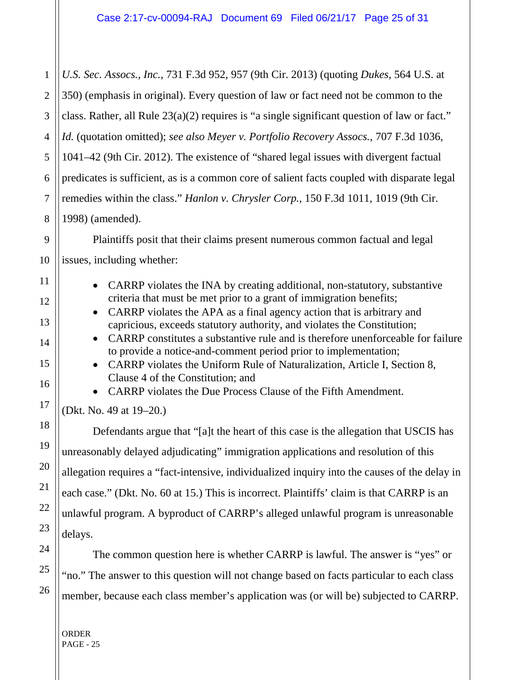*U.S. Sec. Assocs., Inc.*, 731 F.3d 952, 957 (9th Cir. 2013) (quoting *Dukes*, 564 U.S. at 350) (emphasis in original). Every question of law or fact need not be common to the class. Rather, all Rule 23(a)(2) requires is "a single significant question of law or fact." *Id.* (quotation omitted); *see also Meyer v. Portfolio Recovery Assocs.*, 707 F.3d 1036, 1041–42 (9th Cir. 2012). The existence of "shared legal issues with divergent factual predicates is sufficient, as is a common core of salient facts coupled with disparate legal remedies within the class." *Hanlon v. Chrysler Corp.*, 150 F.3d 1011, 1019 (9th Cir. 1998) (amended).

Plaintiffs posit that their claims present numerous common factual and legal issues, including whether:

- CARRP violates the INA by creating additional, non-statutory, substantive criteria that must be met prior to a grant of immigration benefits;
- CARRP violates the APA as a final agency action that is arbitrary and capricious, exceeds statutory authority, and violates the Constitution;
- CARRP constitutes a substantive rule and is therefore unenforceable for failure to provide a notice-and-comment period prior to implementation;
- CARRP violates the Uniform Rule of Naturalization, Article I, Section 8, Clause 4 of the Constitution; and

• CARRP violates the Due Process Clause of the Fifth Amendment.

(Dkt. No. 49 at 19–20.)

Defendants argue that "[a]t the heart of this case is the allegation that USCIS has unreasonably delayed adjudicating" immigration applications and resolution of this allegation requires a "fact-intensive, individualized inquiry into the causes of the delay in each case." (Dkt. No. 60 at 15.) This is incorrect. Plaintiffs' claim is that CARRP is an unlawful program. A byproduct of CARRP's alleged unlawful program is unreasonable delays.

The common question here is whether CARRP is lawful. The answer is "yes" or "no." The answer to this question will not change based on facts particular to each class member, because each class member's application was (or will be) subjected to CARRP.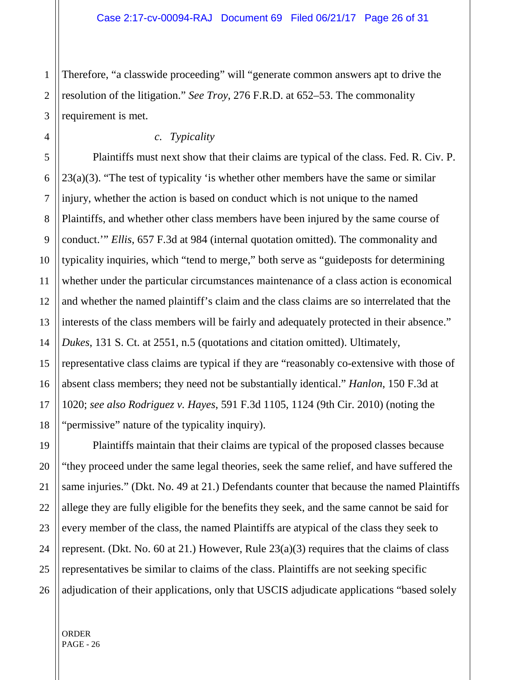Therefore, "a classwide proceeding" will "generate common answers apt to drive the resolution of the litigation." *See Troy*, 276 F.R.D. at 652–53. The commonality requirement is met.

# *c. Typicality*

Plaintiffs must next show that their claims are typical of the class. Fed. R. Civ. P.  $23(a)(3)$ . "The test of typicality 'is whether other members have the same or similar injury, whether the action is based on conduct which is not unique to the named Plaintiffs, and whether other class members have been injured by the same course of conduct.'" *Ellis*, 657 F.3d at 984 (internal quotation omitted). The commonality and typicality inquiries, which "tend to merge," both serve as "guideposts for determining whether under the particular circumstances maintenance of a class action is economical and whether the named plaintiff's claim and the class claims are so interrelated that the interests of the class members will be fairly and adequately protected in their absence." *Dukes*, 131 S. Ct. at 2551, n.5 (quotations and citation omitted). Ultimately, representative class claims are typical if they are "reasonably co-extensive with those of absent class members; they need not be substantially identical." *Hanlon*, 150 F.3d at 1020; *see also Rodriguez v. Hayes*, 591 F.3d 1105, 1124 (9th Cir. 2010) (noting the "permissive" nature of the typicality inquiry).

Plaintiffs maintain that their claims are typical of the proposed classes because "they proceed under the same legal theories, seek the same relief, and have suffered the same injuries." (Dkt. No. 49 at 21.) Defendants counter that because the named Plaintiffs allege they are fully eligible for the benefits they seek, and the same cannot be said for every member of the class, the named Plaintiffs are atypical of the class they seek to represent. (Dkt. No. 60 at 21.) However, Rule 23(a)(3) requires that the claims of class representatives be similar to claims of the class. Plaintiffs are not seeking specific adjudication of their applications, only that USCIS adjudicate applications "based solely

1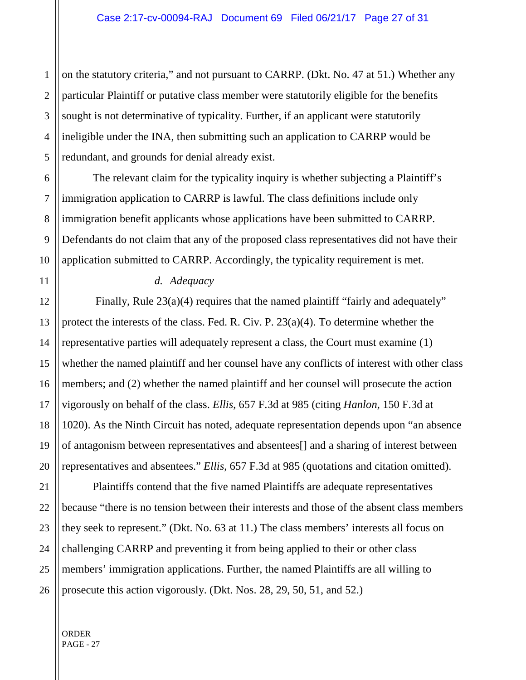3 4 5 on the statutory criteria," and not pursuant to CARRP. (Dkt. No. 47 at 51.) Whether any particular Plaintiff or putative class member were statutorily eligible for the benefits sought is not determinative of typicality. Further, if an applicant were statutorily ineligible under the INA, then submitting such an application to CARRP would be redundant, and grounds for denial already exist.

The relevant claim for the typicality inquiry is whether subjecting a Plaintiff's immigration application to CARRP is lawful. The class definitions include only immigration benefit applicants whose applications have been submitted to CARRP. Defendants do not claim that any of the proposed class representatives did not have their application submitted to CARRP. Accordingly, the typicality requirement is met.

#### *d. Adequacy*

Finally, Rule 23(a)(4) requires that the named plaintiff "fairly and adequately" protect the interests of the class. Fed. R. Civ. P. 23(a)(4). To determine whether the representative parties will adequately represent a class, the Court must examine (1) whether the named plaintiff and her counsel have any conflicts of interest with other class members; and (2) whether the named plaintiff and her counsel will prosecute the action vigorously on behalf of the class. *Ellis*, 657 F.3d at 985 (citing *Hanlon*, 150 F.3d at 1020). As the Ninth Circuit has noted, adequate representation depends upon "an absence of antagonism between representatives and absentees[] and a sharing of interest between representatives and absentees." *Ellis*, 657 F.3d at 985 (quotations and citation omitted).

22 26 Plaintiffs contend that the five named Plaintiffs are adequate representatives because "there is no tension between their interests and those of the absent class members they seek to represent." (Dkt. No. 63 at 11.) The class members' interests all focus on challenging CARRP and preventing it from being applied to their or other class members' immigration applications. Further, the named Plaintiffs are all willing to prosecute this action vigorously. (Dkt. Nos. 28, 29, 50, 51, and 52.)

1

2

6

7

8

9

10

11

12

13

14

15

16

17

18

19

20

21

23

24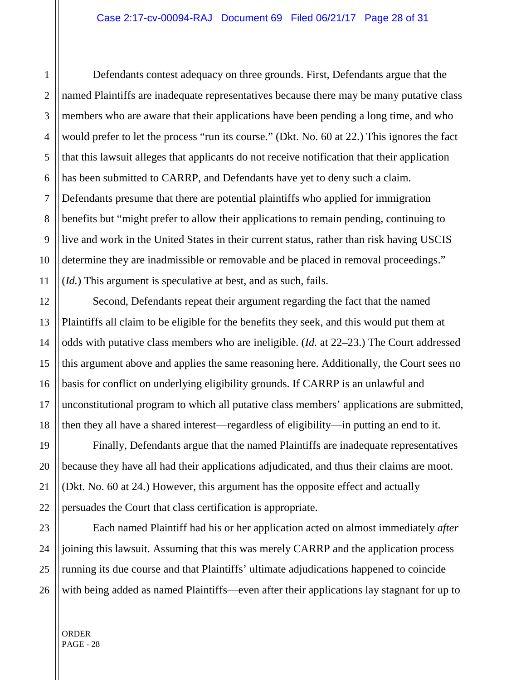Defendants contest adequacy on three grounds. First, Defendants argue that the named Plaintiffs are inadequate representatives because there may be many putative class members who are aware that their applications have been pending a long time, and who would prefer to let the process "run its course." (Dkt. No. 60 at 22.) This ignores the fact that this lawsuit alleges that applicants do not receive notification that their application has been submitted to CARRP, and Defendants have yet to deny such a claim. Defendants presume that there are potential plaintiffs who applied for immigration benefits but "might prefer to allow their applications to remain pending, continuing to live and work in the United States in their current status, rather than risk having USCIS determine they are inadmissible or removable and be placed in removal proceedings." (*Id.*) This argument is speculative at best, and as such, fails.

Second, Defendants repeat their argument regarding the fact that the named Plaintiffs all claim to be eligible for the benefits they seek, and this would put them at odds with putative class members who are ineligible. (*Id.* at 22–23.) The Court addressed this argument above and applies the same reasoning here. Additionally, the Court sees no basis for conflict on underlying eligibility grounds. If CARRP is an unlawful and unconstitutional program to which all putative class members' applications are submitted, then they all have a shared interest—regardless of eligibility—in putting an end to it.

Finally, Defendants argue that the named Plaintiffs are inadequate representatives because they have all had their applications adjudicated, and thus their claims are moot. (Dkt. No. 60 at 24.) However, this argument has the opposite effect and actually persuades the Court that class certification is appropriate.

Each named Plaintiff had his or her application acted on almost immediately *after* joining this lawsuit. Assuming that this was merely CARRP and the application process running its due course and that Plaintiffs' ultimate adjudications happened to coincide with being added as named Plaintiffs—even after their applications lay stagnant for up to

ORDER PAGE - 28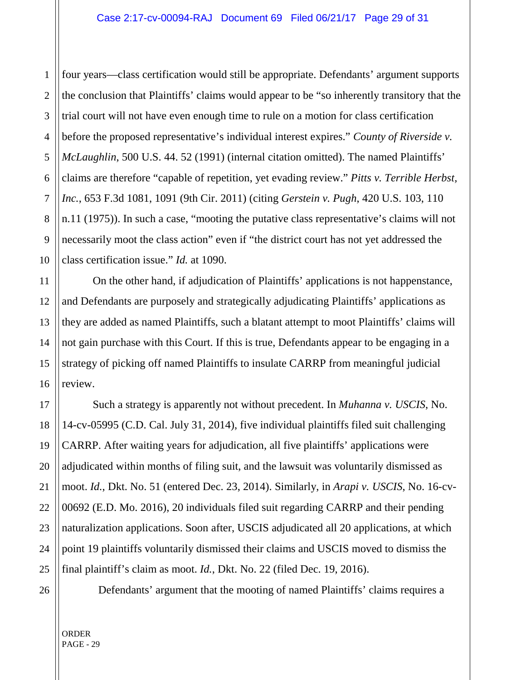1 2 four years—class certification would still be appropriate. Defendants' argument supports the conclusion that Plaintiffs' claims would appear to be "so inherently transitory that the trial court will not have even enough time to rule on a motion for class certification before the proposed representative's individual interest expires." *County of Riverside v. McLaughlin*, 500 U.S. 44. 52 (1991) (internal citation omitted). The named Plaintiffs' claims are therefore "capable of repetition, yet evading review." *Pitts v. Terrible Herbst, Inc.*, 653 F.3d 1081, 1091 (9th Cir. 2011) (citing *Gerstein v. Pugh*, 420 U.S. 103, 110 n.11 (1975)). In such a case, "mooting the putative class representative's claims will not necessarily moot the class action" even if "the district court has not yet addressed the class certification issue." *Id.* at 1090.

On the other hand, if adjudication of Plaintiffs' applications is not happenstance, and Defendants are purposely and strategically adjudicating Plaintiffs' applications as they are added as named Plaintiffs, such a blatant attempt to moot Plaintiffs' claims will not gain purchase with this Court. If this is true, Defendants appear to be engaging in a strategy of picking off named Plaintiffs to insulate CARRP from meaningful judicial review.

Such a strategy is apparently not without precedent. In *Muhanna v. USCIS*, No. 14-cv-05995 (C.D. Cal. July 31, 2014), five individual plaintiffs filed suit challenging CARRP. After waiting years for adjudication, all five plaintiffs' applications were adjudicated within months of filing suit, and the lawsuit was voluntarily dismissed as moot. *Id.*, Dkt. No. 51 (entered Dec. 23, 2014). Similarly, in *Arapi v. USCIS*, No. 16-cv-00692 (E.D. Mo. 2016), 20 individuals filed suit regarding CARRP and their pending naturalization applications. Soon after, USCIS adjudicated all 20 applications, at which point 19 plaintiffs voluntarily dismissed their claims and USCIS moved to dismiss the final plaintiff's claim as moot. *Id.*, Dkt. No. 22 (filed Dec. 19, 2016).

Defendants' argument that the mooting of named Plaintiffs' claims requires a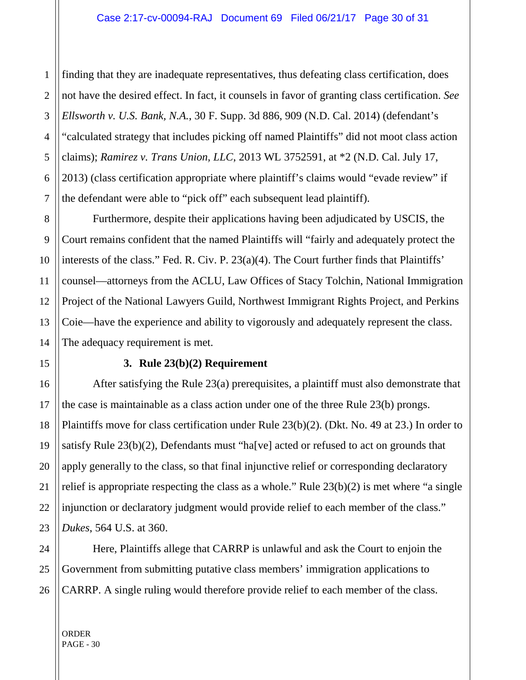2 finding that they are inadequate representatives, thus defeating class certification, does not have the desired effect. In fact, it counsels in favor of granting class certification. *See Ellsworth v. U.S. Bank, N.A.*, 30 F. Supp. 3d 886, 909 (N.D. Cal. 2014) (defendant's "calculated strategy that includes picking off named Plaintiffs" did not moot class action claims); *Ramirez v. Trans Union, LLC*, 2013 WL 3752591, at \*2 (N.D. Cal. July 17, 2013) (class certification appropriate where plaintiff's claims would "evade review" if the defendant were able to "pick off" each subsequent lead plaintiff).

Furthermore, despite their applications having been adjudicated by USCIS, the Court remains confident that the named Plaintiffs will "fairly and adequately protect the interests of the class." Fed. R. Civ. P. 23(a)(4). The Court further finds that Plaintiffs' counsel—attorneys from the ACLU, Law Offices of Stacy Tolchin, National Immigration Project of the National Lawyers Guild, Northwest Immigrant Rights Project, and Perkins Coie—have the experience and ability to vigorously and adequately represent the class. The adequacy requirement is met.

#### **3. Rule 23(b)(2) Requirement**

After satisfying the Rule 23(a) prerequisites, a plaintiff must also demonstrate that the case is maintainable as a class action under one of the three Rule 23(b) prongs. Plaintiffs move for class certification under Rule 23(b)(2). (Dkt. No. 49 at 23.) In order to satisfy Rule 23(b)(2), Defendants must "ha[ve] acted or refused to act on grounds that apply generally to the class, so that final injunctive relief or corresponding declaratory relief is appropriate respecting the class as a whole." Rule 23(b)(2) is met where "a single injunction or declaratory judgment would provide relief to each member of the class." *Dukes*, 564 U.S. at 360.

Here, Plaintiffs allege that CARRP is unlawful and ask the Court to enjoin the Government from submitting putative class members' immigration applications to CARRP. A single ruling would therefore provide relief to each member of the class.

ORDER PAGE - 30